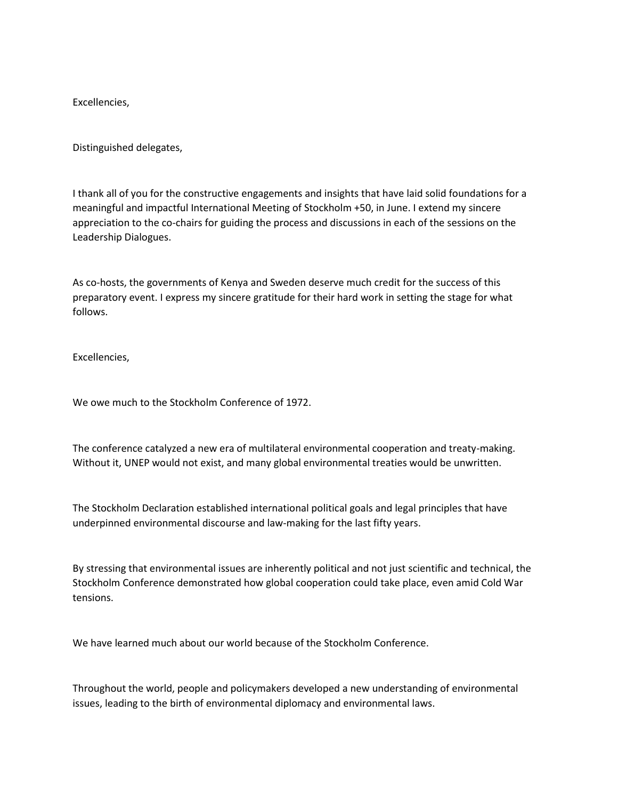Excellencies,

Distinguished delegates,

I thank all of you for the constructive engagements and insights that have laid solid foundations for a meaningful and impactful International Meeting of Stockholm +50, in June. I extend my sincere appreciation to the co-chairs for guiding the process and discussions in each of the sessions on the Leadership Dialogues.

As co-hosts, the governments of Kenya and Sweden deserve much credit for the success of this preparatory event. I express my sincere gratitude for their hard work in setting the stage for what follows.

Excellencies,

We owe much to the Stockholm Conference of 1972.

The conference catalyzed a new era of multilateral environmental cooperation and treaty-making. Without it, UNEP would not exist, and many global environmental treaties would be unwritten.

The Stockholm Declaration established international political goals and legal principles that have underpinned environmental discourse and law-making for the last fifty years.

By stressing that environmental issues are inherently political and not just scientific and technical, the Stockholm Conference demonstrated how global cooperation could take place, even amid Cold War tensions.

We have learned much about our world because of the Stockholm Conference.

Throughout the world, people and policymakers developed a new understanding of environmental issues, leading to the birth of environmental diplomacy and environmental laws.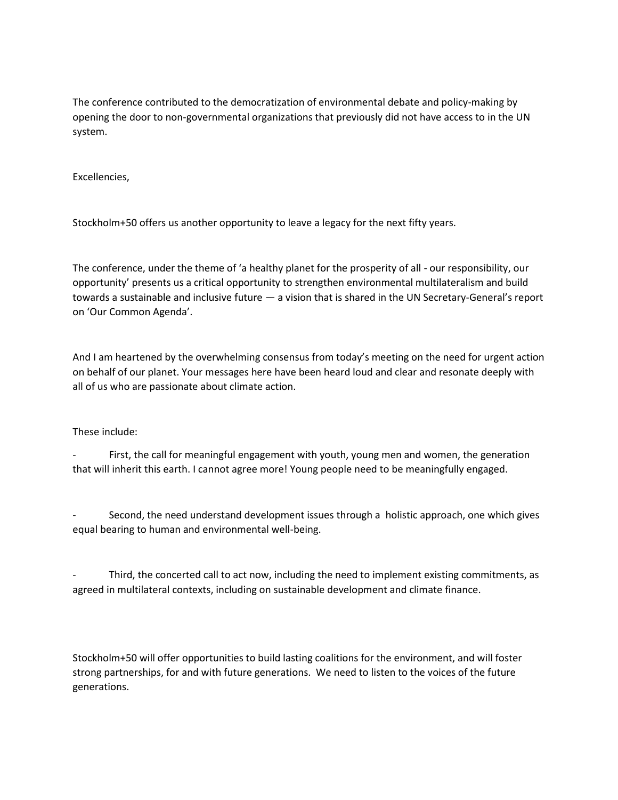The conference contributed to the democratization of environmental debate and policy-making by opening the door to non-governmental organizations that previously did not have access to in the UN system.

Excellencies,

Stockholm+50 offers us another opportunity to leave a legacy for the next fifty years.

The conference, under the theme of 'a healthy planet for the prosperity of all - our responsibility, our opportunity' presents us a critical opportunity to strengthen environmental multilateralism and build towards a sustainable and inclusive future — a vision that is shared in the UN Secretary-General's report on 'Our Common Agenda'.

And I am heartened by the overwhelming consensus from today's meeting on the need for urgent action on behalf of our planet. Your messages here have been heard loud and clear and resonate deeply with all of us who are passionate about climate action.

## These include:

First, the call for meaningful engagement with youth, young men and women, the generation that will inherit this earth. I cannot agree more! Young people need to be meaningfully engaged.

Second, the need understand development issues through a holistic approach, one which gives equal bearing to human and environmental well-being.

Third, the concerted call to act now, including the need to implement existing commitments, as agreed in multilateral contexts, including on sustainable development and climate finance.

Stockholm+50 will offer opportunities to build lasting coalitions for the environment, and will foster strong partnerships, for and with future generations. We need to listen to the voices of the future generations.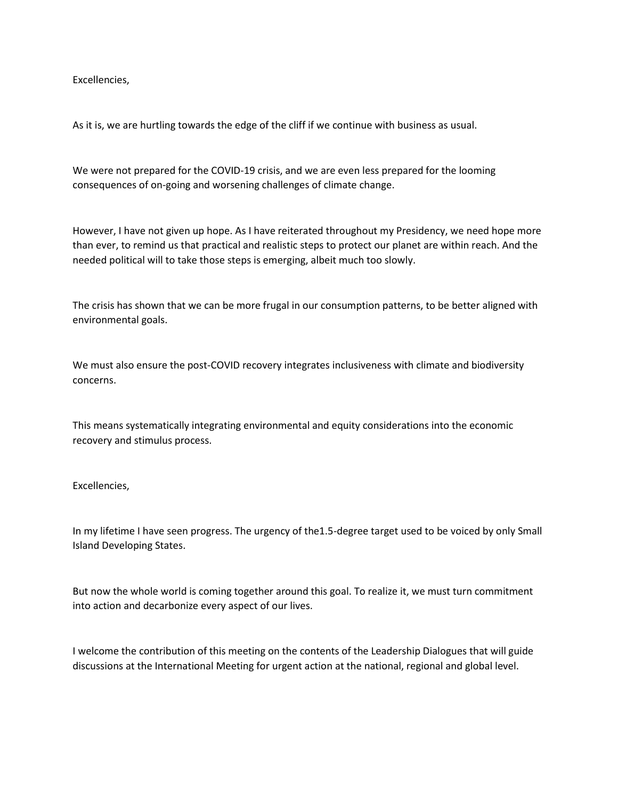Excellencies,

As it is, we are hurtling towards the edge of the cliff if we continue with business as usual.

We were not prepared for the COVID-19 crisis, and we are even less prepared for the looming consequences of on-going and worsening challenges of climate change.

However, I have not given up hope. As I have reiterated throughout my Presidency, we need hope more than ever, to remind us that practical and realistic steps to protect our planet are within reach. And the needed political will to take those steps is emerging, albeit much too slowly.

The crisis has shown that we can be more frugal in our consumption patterns, to be better aligned with environmental goals.

We must also ensure the post-COVID recovery integrates inclusiveness with climate and biodiversity concerns.

This means systematically integrating environmental and equity considerations into the economic recovery and stimulus process.

Excellencies,

In my lifetime I have seen progress. The urgency of the1.5-degree target used to be voiced by only Small Island Developing States.

But now the whole world is coming together around this goal. To realize it, we must turn commitment into action and decarbonize every aspect of our lives.

I welcome the contribution of this meeting on the contents of the Leadership Dialogues that will guide discussions at the International Meeting for urgent action at the national, regional and global level.